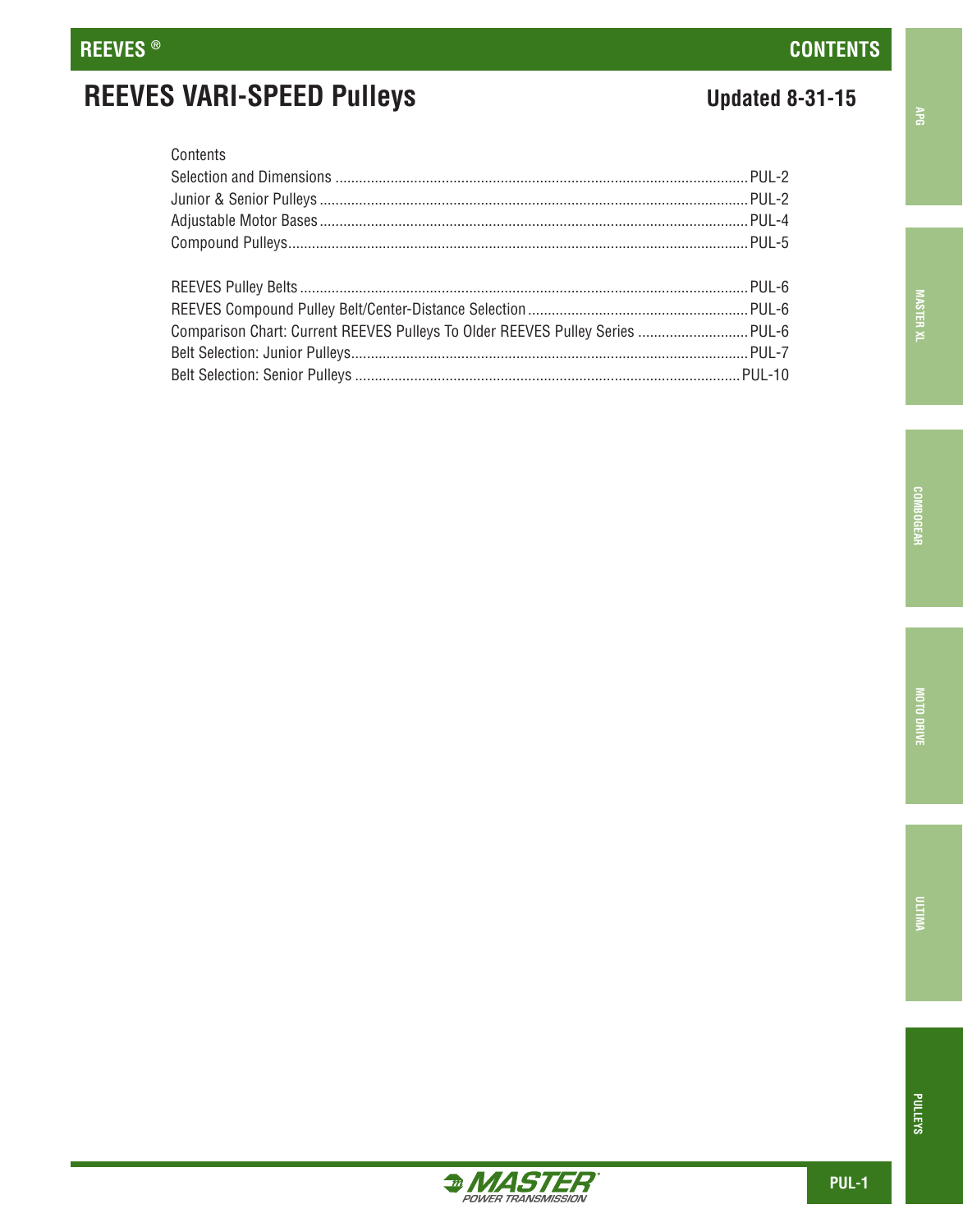| <b>REEVES VARI-SPEED Pulleys</b> | <b>Updated 8-31-15</b> |
|----------------------------------|------------------------|
| Contents                         |                        |

| Comparison Chart: Current REEVES Pulleys To Older REEVES Pulley Series  PUL-6 |  |
|-------------------------------------------------------------------------------|--|
|                                                                               |  |
|                                                                               |  |

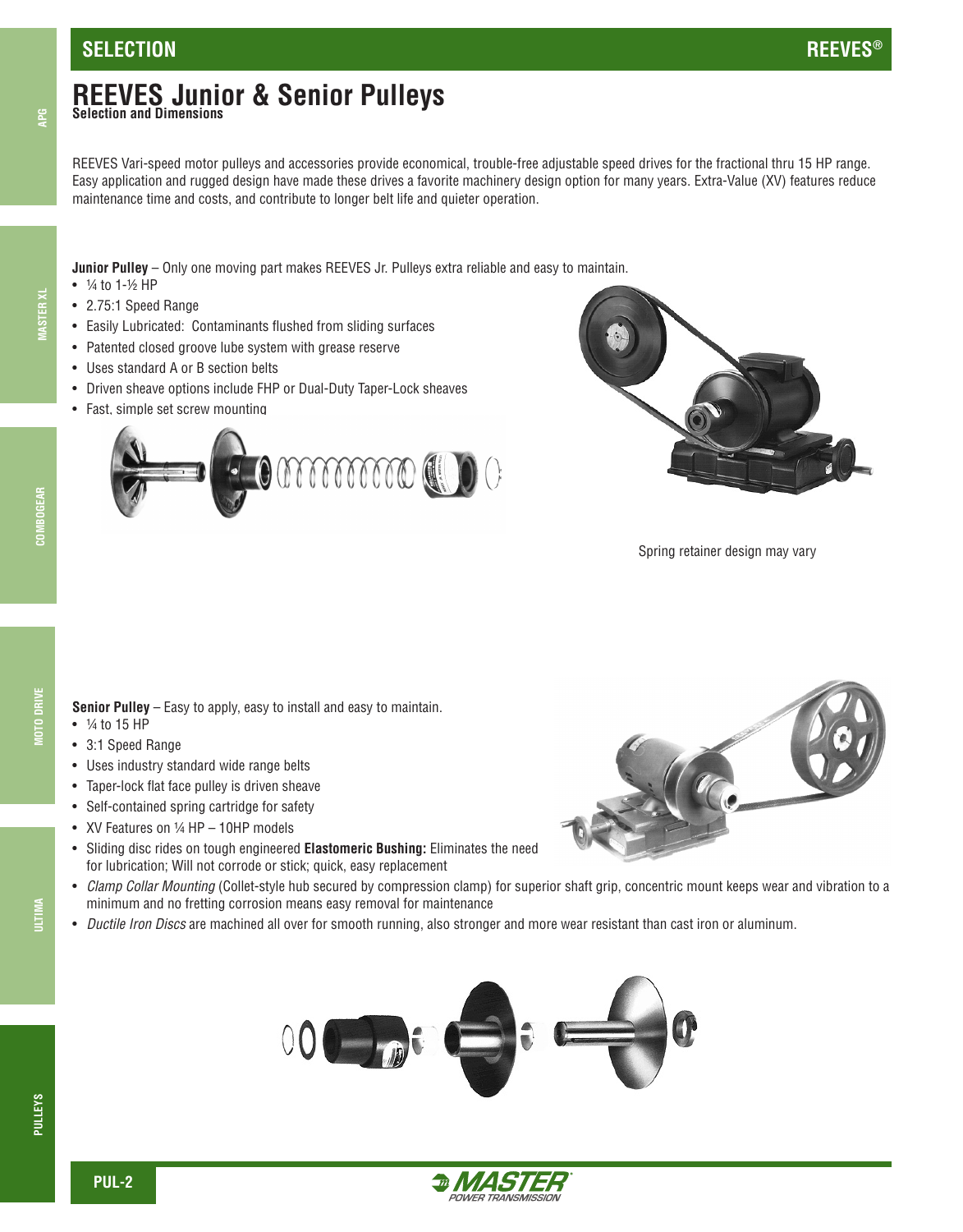## **Selection and Dimensions Junior & Senior Pulleys REEVES**

REEVES Vari-speed motor pulleys and accessories provide economical, trouble-free adjustable speed drives for the fractional thru 15 HP range. Easy application and rugged design have made these drives a favorite machinery design option for many years. Extra-Value (XV) features reduce maintenance time and costs, and contribute to longer belt life and quieter operation.

**Junior Pulley** – Only one moving part makes REEVES Jr. Pulleys extra reliable and easy to maintain.

- $\frac{1}{4}$  to 1- $\frac{1}{2}$  HP
- 2.75:1 Speed Range
- Easily Lubricated: Contaminants flushed from sliding surfaces
- Patented closed groove lube system with grease reserve
- Uses standard A or B section belts
- Driven sheave options include FHP or Dual-Duty Taper-Lock sheaves
- Fast, simple set screw mounting





Spring retainer design may vary

- **Senior Pulley** Easy to apply, easy to install and easy to maintain.
- $\frac{1}{4}$  to 15 HP
- 3:1 Speed Range
- Uses industry standard wide range belts
- Taper-lock flat face pulley is driven sheave
- Self-contained spring cartridge for safety
- XV Features on  $\frac{1}{4}$  HP 10HP models
- Sliding disc rides on tough engineered **Elastomeric Bushing:** Eliminates the need for lubrication; Will not corrode or stick; quick, easy replacement
- Clamp Collar Mounting (Collet-style hub secured by compression clamp) for superior shaft grip, concentric mount keeps wear and vibration to a minimum and no fretting corrosion means easy removal for maintenance
- Ductile Iron Discs are machined all over for smooth running, also stronger and more wear resistant than cast iron or aluminum.





**COMBOGEAR**<br>COMBOGEAR<br>COMBOGEAR

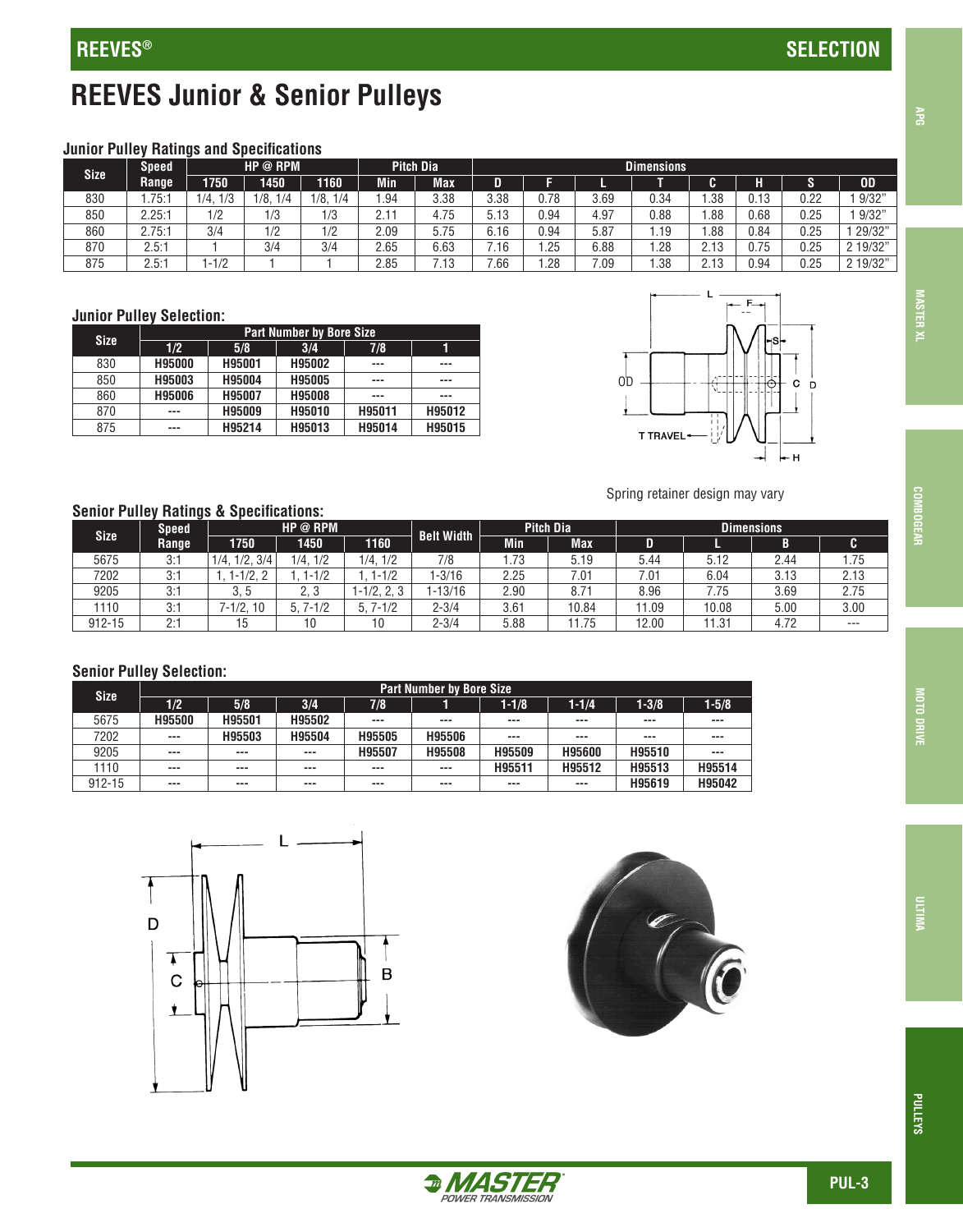### **Junior Pulley Ratings and Specifications**

| <b>Speed</b><br><b>Size</b> |        | HP @ RPM   |            |             |               | <b>Pitch Dia</b><br><b>Dimensions</b> |      |      |      |      |      |      |      |          |
|-----------------------------|--------|------------|------------|-------------|---------------|---------------------------------------|------|------|------|------|------|------|------|----------|
|                             | Range  | 750        | 450        | 1160        | Min           | <b>Max</b>                            | D    |      | ь    |      |      |      | r)   | 0D       |
| 830                         | .75:1  | 1/3<br>1/4 | 1/4<br>1/8 | 1/4<br>1/8. | .94           | 3.38                                  | 3.38 | 0.78 | 3.69 | 0.34 | .38  | 0.13 | 0.22 | 9/32"    |
| 850                         | 2.25:1 | 1/2        | 1/3        | 1/3         | $2.1^{\circ}$ | 4.75                                  | 5.13 | 0.94 | 4.97 | 0.88 | .88  | 0.68 | 0.25 | 9/32"    |
| 860                         | 2.75:1 | 3/4        | 1/2        | 1/2         | 2.09          | 5.75                                  | 6.16 | 0.94 | 5.87 | . 19 | .88  | 0.84 | 0.25 | 29/32"   |
| 870                         | 2.5:1  |            | 3/4        | 3/4         | 2.65          | 6.63                                  | 7.16 | .25  | 6.88 | .28  | 2.13 | 0.75 | 0.25 | 2 19/32" |
| 875                         | 2.5:1  | $-1/2$     |            |             | 2.85          | 7.13                                  | 7.66 | .28  | 7.09 | .38  | 2.13 | 0.94 | 0.25 | 2 19/32" |

#### **Junior Pulley Selection:**

| <b>Size</b> | <b>Part Number by Bore Size</b> |        |        |         |        |  |  |  |  |
|-------------|---------------------------------|--------|--------|---------|--------|--|--|--|--|
|             | 1/2                             | 5/8    | 3/4    | 7/8     |        |  |  |  |  |
| 830         | <b>H95000</b>                   | H95001 | H95002 | $- - -$ | ---    |  |  |  |  |
| 850         | H95003                          | H95004 | H95005 | $- - -$ | ---    |  |  |  |  |
| 860         | <b>H95006</b>                   | H95007 | H95008 | $- - -$ | ---    |  |  |  |  |
| 870         | ---                             | H95009 | H95010 | H95011  | H95012 |  |  |  |  |
| 875         | ---                             | H95214 | H95013 | H95014  | H95015 |  |  |  |  |



Spring retainer design may vary

### **Senior Pulley Ratings & Specifications:**

| Speed<br><b>Size</b> |       | <b>HP @ RPM</b>    |                        | <b>Belt Width</b>    | <b>Pitch Dia</b> |      | <b>Dimensions</b> |       |       |      |       |
|----------------------|-------|--------------------|------------------------|----------------------|------------------|------|-------------------|-------|-------|------|-------|
|                      | Range | 1750               | 1450                   | 1160                 |                  | Min  | <b>Max</b>        |       |       | B    | C     |
| 5675                 | 3:1   | 1/2.3/4<br>1/4.    | 1/2<br>1/4.            | 1/4.1/2              | 7/8              | .73  | 5.19              | 5.44  | 5.12  | 2.44 | .75   |
| 7202                 | 3:1   | $1 - 1/2$ .        | $-1/2$                 | $1 - 1/2$            | $1 - 3/16$       | 2.25 | 7.01              | 7.01  | 6.04  | 3.13 | 2.13  |
| 9205                 | 3:1   |                    | 2.3                    | $1 - 1/2$ , 2.<br>્ર | 1-13/16          | 2.90 | 8.71              | 8.96  | 7.75  | 3.69 | 2.75  |
| 1110                 | 3:1   | $7 - 1/2$ .<br>-10 | $-1/2$<br>$\mathsf{h}$ | $7 - 1/2$<br>ხ.      | $2 - 3/4$        | 3.61 | 10.84             | 1.09  | 10.08 | 5.00 | 3.00  |
| $912 - 15$           | 2:1   | 1 5                | 1 ∩<br>ιv              | 10                   | $2 - 3/4$        | 5.88 | 1.75              | 12.00 | 11.31 | 4.72 | $---$ |

### **Senior Pulley Selection:**

| <b>Size</b> |         | <b>Part Number by Bore Size</b> |        |         |         |           |           |           |           |  |  |
|-------------|---------|---------------------------------|--------|---------|---------|-----------|-----------|-----------|-----------|--|--|
|             | 1/2     | 5/8                             | 3/4    | 7/8     |         | $1 - 1/8$ | $1 - 1/4$ | $1 - 3/8$ | $1 - 5/8$ |  |  |
| 5675        | H95500  | H95501                          | H95502 | $- - -$ | $- - -$ | $- - -$   | $- - -$   | $- - -$   | $---$     |  |  |
| 7202        | $- - -$ | H95503                          | H95504 | H95505  | H95506  | $- - -$   | $- - -$   | $- - -$   | $- - -$   |  |  |
| 9205        | $- - -$ | ---                             | $---$  | H95507  | H95508  | H95509    | H95600    | H95510    | $- - -$   |  |  |
| 1110        | $- - -$ | ---                             | $---$  | $- - -$ | $- - -$ | H95511    | H95512    | H95513    | H95514    |  |  |
| $912 - 15$  | $- - -$ | $- - -$                         | $---$  | $- - -$ | $- - -$ | $- - -$   | $- - -$   | H95619    | H95042    |  |  |





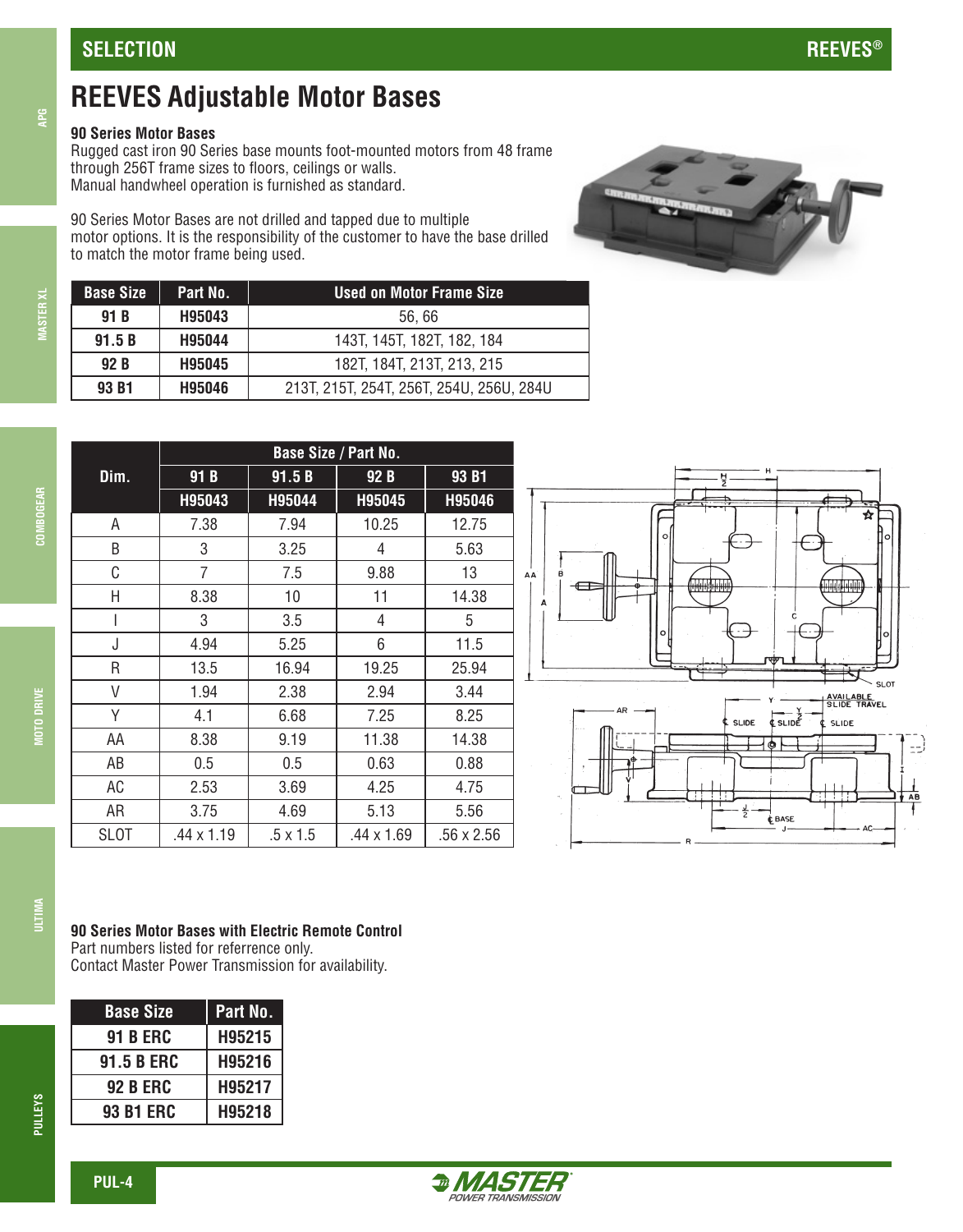### **PG**

### **REEVES Adjustable Motor Bases**

### **90 Series Motor Bases**

Rugged cast iron 90 Series base mounts foot-mounted motors from 48 frame through 256T frame sizes to floors, ceilings or walls. Manual handwheel operation is furnished as standard.

90 Series Motor Bases are not drilled and tapped due to multiple motor options. It is the responsibility of the customer to have the base drilled to match the motor frame being used.

| 97 |
|----|
|    |

| <b>Base Size</b>  | Part No. | <b>Used on Motor Frame Size</b>          |
|-------------------|----------|------------------------------------------|
| 91 B              | H95043   | 56.66                                    |
| 91.5B             | H95044   | 143T, 145T, 182T, 182, 184               |
| 92 B              | H95045   | 182T, 184T, 213T, 213, 215               |
| 93 B <sub>1</sub> | H95046   | 213T, 215T, 254T, 256T, 254U, 256U, 284U |

|             | <b>Base Size / Part No.</b> |                 |                   |                   |  |  |  |  |
|-------------|-----------------------------|-----------------|-------------------|-------------------|--|--|--|--|
| Dim.        | 91 B                        | 91.5B           | 92B               | 93 B1             |  |  |  |  |
|             | H95043                      | H95044          | H95045            | H95046            |  |  |  |  |
| Α           | 7.38                        | 7.94            | 10.25             | 12.75             |  |  |  |  |
| Β           | 3                           | 3.25            | 4                 | 5.63              |  |  |  |  |
| C           | 7                           | 7.5             | 9.88              | 13                |  |  |  |  |
| Η           | 8.38                        | 10              | 11                | 14.38             |  |  |  |  |
|             | 3                           | 3.5             | 4                 | 5                 |  |  |  |  |
| J           | 4.94                        | 5.25            | 6                 | 11.5              |  |  |  |  |
| R           | 13.5                        | 16.94           | 19.25             | 25.94             |  |  |  |  |
| V           | 1.94                        | 2.38            | 2.94              | 3.44              |  |  |  |  |
| Υ           | 4.1                         | 6.68            | 7.25              | 8.25              |  |  |  |  |
| AA          | 8.38                        | 9.19            | 11.38             | 14.38             |  |  |  |  |
| AB          | 0.5                         | 0.5             | 0.63              | 0.88              |  |  |  |  |
| AC          | 2.53                        | 3.69            | 4.25              | 4.75              |  |  |  |  |
| AR          | 3.75                        | 4.69            | 5.13              | 5.56              |  |  |  |  |
| <b>SLOT</b> | $.44 \times 1.19$           | $.5 \times 1.5$ | $.44 \times 1.69$ | $.56 \times 2.56$ |  |  |  |  |



#### **90 Series Motor Bases with Electric Remote Control**

Part numbers listed for referrence only.

Contact Master Power Transmission for availability.

| <b>Base Size</b> | Part No. |
|------------------|----------|
| <b>91 B ERC</b>  | H95215   |
| 91.5 B ERC       | H95216   |
| <b>92 B ERC</b>  | H95217   |
| <b>93 B1 ERC</b> | H95218   |



**PUL-4**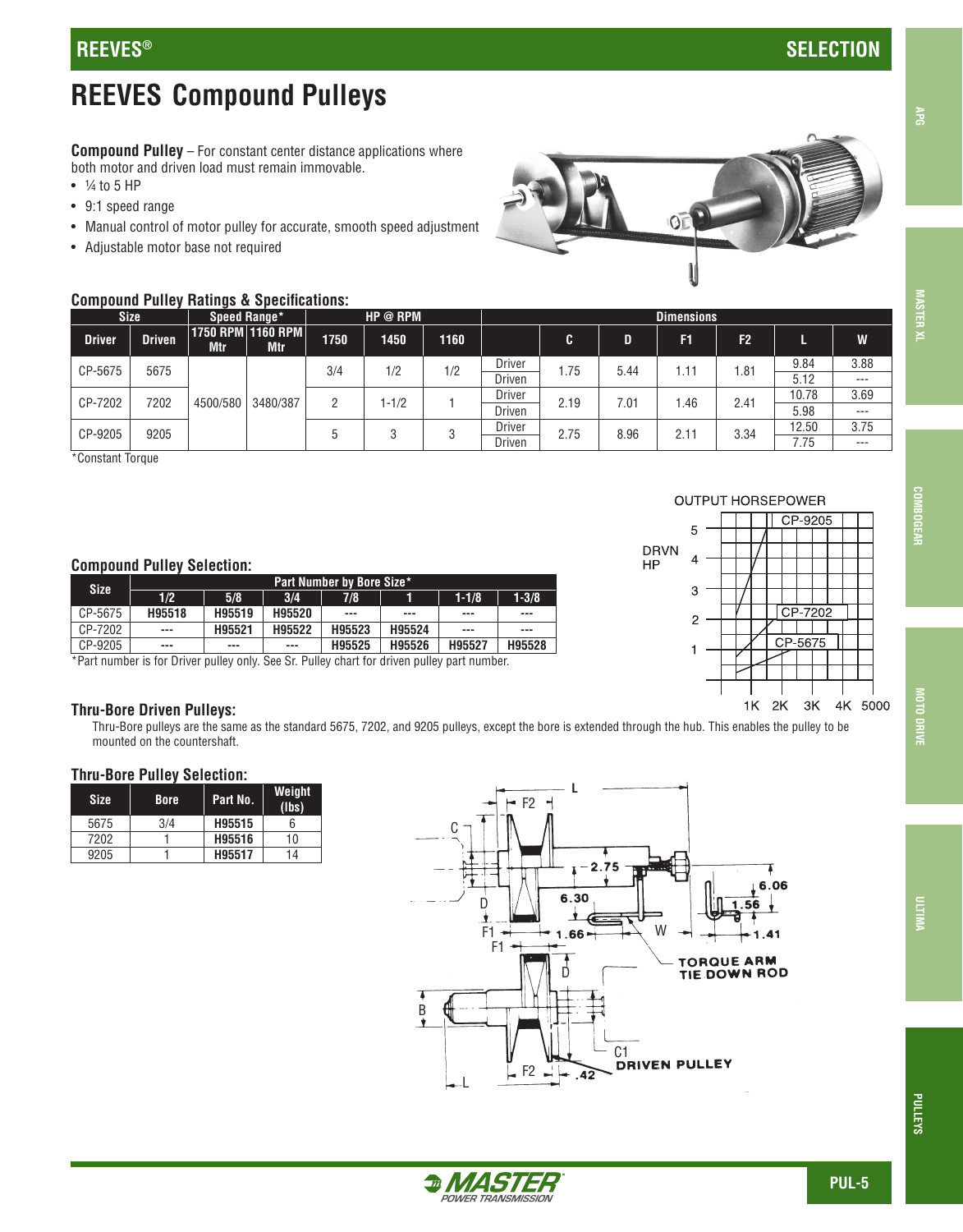### **Compound Pulleys REEVES**

**Compound Pulley** – For constant center distance applications where both motor and driven load must remain immovable.

- $\bullet$   $\frac{1}{4}$  to 5 HP
- 9:1 speed range

CP-5675 5675

\*Constant Torque

• Manual control of motor pulley for accurate, smooth speed adjustment

3480/387

 $CP-7202$  7202 4500/580 3480/387 2 1-1/2 1

**Size Part Number by Bore Size**<br>  $\begin{array}{|c|c|c|c|c|}\n\hline\n\text{1/2} & 5/8 & 3/4 & 7/8 & \hline\n\end{array}$ 

**1/2 5/8 3/4 7/8 1 1-1/8 1-3/8**

CP-5675 **H95518 H95519 H95520 --- --- --- ---** CP-7202 | --- | **H95521 | H95522 | H95523 | H95524 |** --- | ---CP-9205 **--- --- --- H95525 H95526 H95527 H95528** \*Part number is for Driver pulley only. See Sr. Pulley chart for driven pulley part number.

• Adjustable motor base not required

#### **Compound Pulley Ratings & Specifications: Size Speed Range\* HP @ RPM Dimensions**

**Driver Driven 1750 RPM 1160 RPM Mtr**



Driven 5.12 ---

 $\frac{\text{Diriver}}{\text{Diriver}}$  2.19 7.01 1.46 2.41  $\frac{10.78}{5.09}$  3.69 Driven 5.98 ---

Driven 7.75 ---

**Mtr 1750 1450 1160 C D F1 F2 L W**

 $3/4$  1/2 1/2 Driver 1.75 5.44 1.11 1.81  $\frac{9.84}{5.12}$  3.88

**APG**

**ULTIMI** 



**Thru-Bore Driven Pulleys:** Thru-Bore pulleys are the same as the standard 5675, 7202, and 9205 pulleys, except the bore is extended through the hub. This enables the pulley to be

CP-9205 9205 <sup>5</sup> 3 3 Driver 2.75 8.96 2.11 3.34 12.50 3.75

#### **Thru-Bore Pulley Selection:**

mounted on the countershaft.

**Compound Pulley Selection:**

| <b>Size</b> | <b>Bore</b> | Part No. | Weight<br>(lbs) |
|-------------|-------------|----------|-----------------|
| 5675        | 3/4         | H95515   | 6               |
| 7202        |             | H95516   | 10              |
| 9205        |             | H95517   | 14              |



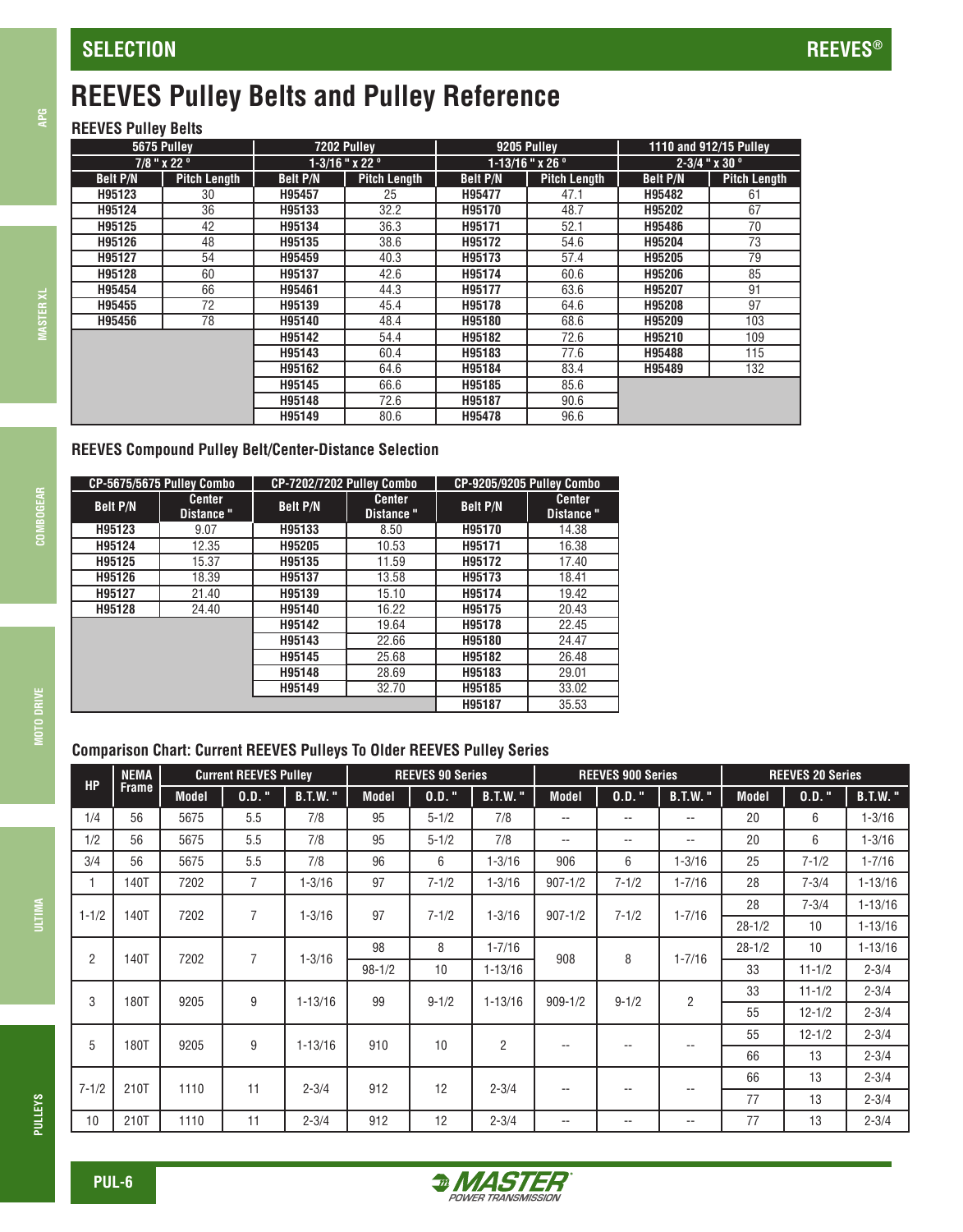### **REEVES Pulley Belts and Pulley Reference**

### **REEVES Pulley Belts**

| 5675 Pulley     |                         |                              | 7202 Pullev         |                 | 9205 Pulley               | 1110 and 912/15 Pulley |                     |  |
|-----------------|-------------------------|------------------------------|---------------------|-----------------|---------------------------|------------------------|---------------------|--|
|                 | $7/8$ " x 22 $^{\circ}$ | $1 - 3/16$ " x 22 $^{\circ}$ |                     |                 | 1-13/16 " x 26 $^{\circ}$ | $2 - 3/4$ "x 30 °      |                     |  |
| <b>Belt P/N</b> | <b>Pitch Length</b>     | <b>Belt P/N</b>              | <b>Pitch Length</b> | <b>Belt P/N</b> | <b>Pitch Length</b>       | <b>Belt P/N</b>        | <b>Pitch Length</b> |  |
| H95123          | 30                      | H95457                       | 25                  | H95477          | 47.1                      | H95482                 | 61                  |  |
| H95124          | 36                      | H95133                       | 32.2                | H95170          | 48.7                      | H95202                 | 67                  |  |
| H95125          | 42                      | H95134                       | 36.3                | H95171          | 52.1                      | H95486                 | 70                  |  |
| H95126          | 48                      | H95135                       | 38.6                | H95172          | 54.6                      | H95204                 | 73                  |  |
| H95127          | 54                      | H95459                       | 40.3                | H95173          | 57.4                      | H95205                 | 79                  |  |
| H95128          | 60                      | H95137                       | 42.6                | H95174          | 60.6                      | H95206                 | 85                  |  |
| H95454          | 66                      | H95461                       | 44.3                | H95177          | 63.6                      | H95207                 | 91                  |  |
| H95455          | 72                      | H95139                       | 45.4                | H95178          | 64.6                      | H95208                 | 97                  |  |
| H95456          | 78                      | H95140                       | 48.4                | H95180          | 68.6                      | H95209                 | 103                 |  |
|                 |                         | H95142                       | 54.4                | H95182          | 72.6                      | H95210                 | 109                 |  |
|                 |                         | H95143                       | 60.4                | H95183          | 77.6                      | H95488                 | 115                 |  |
|                 |                         | H95162                       | 64.6                | H95184          | 83.4                      | H95489                 | 132                 |  |
|                 |                         | H95145                       | 66.6                | H95185          | 85.6                      |                        |                     |  |
|                 |                         | H95148                       | 72.6                | H95187          | 90.6                      |                        |                     |  |
|                 |                         | H95149                       | 80.6                | H95478          | 96.6                      |                        |                     |  |

### **REEVES Compound Pulley Belt/Center-Distance Selection**

|                 | CP-5675/5675 Pulley Combo   | CP-7202/7202 Pulley Combo |                             |                 | CP-9205/9205 Pulley Combo   |
|-----------------|-----------------------------|---------------------------|-----------------------------|-----------------|-----------------------------|
| <b>Belt P/N</b> | <b>Center</b><br>Distance " | <b>Belt P/N</b>           | <b>Center</b><br>Distance " | <b>Belt P/N</b> | <b>Center</b><br>Distance " |
| H95123          | 9.07                        | H95133                    | 8.50                        | H95170          | 14.38                       |
| H95124          | 12.35                       | H95205                    | 10.53                       | H95171          | 16.38                       |
| H95125          | 15.37                       | H95135                    | 11.59                       | H95172          | 17.40                       |
| H95126          | 18.39                       | H95137                    | 13.58                       | H95173          | 18.41                       |
| H95127          | 21.40                       | H95139                    | 15.10                       | H95174          | 19.42                       |
| H95128          | 24.40                       | H95140                    | 16.22                       | H95175          | 20.43                       |
|                 |                             | H95142                    | 19.64                       | H95178          | 22.45                       |
|                 |                             | H95143                    | 22.66                       | H95180          | 24.47                       |
|                 |                             | H95145                    | 25.68                       | H95182          | 26.48                       |
|                 |                             | H95148                    | 28.69                       | H95183          | 29.01                       |
|                 |                             | H95149                    | 32.70                       | H95185          | 33.02                       |
|                 |                             |                           |                             | H95187          | 35.53                       |

### **Comparison Chart: Current REEVES Pulleys To Older REEVES Pulley Series**

| <b>NEMA</b><br><b>HP</b><br><b>Frame</b> |      | <b>Current REEVES Pulley</b> |                |                 | <b>REEVES 90 Series</b> |           |                 | <b>REEVES 900 Series</b> |           |                 | <b>REEVES 20 Series</b> |            |                 |
|------------------------------------------|------|------------------------------|----------------|-----------------|-------------------------|-----------|-----------------|--------------------------|-----------|-----------------|-------------------------|------------|-----------------|
|                                          |      | <b>Model</b>                 | 0.D.           | <b>B.T.W.</b> " | <b>Model</b>            | $0.D.$ "  | <b>B.T.W.</b> " | <b>Model</b>             | 0.D.      | <b>B.T.W.</b> " | <b>Model</b>            | 0.D.       | <b>B.T.W.</b> " |
| 1/4                                      | 56   | 5675                         | 5.5            | 7/8             | 95                      | $5 - 1/2$ | 7/8             | --                       | --        | $-$             | 20                      | 6          | $1 - 3/16$      |
| 1/2                                      | 56   | 5675                         | 5.5            | 7/8             | 95                      | $5 - 1/2$ | 7/8             | $\overline{\phantom{m}}$ | --        | $- -$           | 20                      | 6          | $1 - 3/16$      |
| 3/4                                      | 56   | 5675                         | 5.5            | 7/8             | 96                      | 6         | $1 - 3/16$      | 906                      | 6         | $1 - 3/16$      | 25                      | $7 - 1/2$  | $1 - 7/16$      |
|                                          | 140T | 7202                         | $\overline{7}$ | $1 - 3/16$      | 97                      | $7 - 1/2$ | $1 - 3/16$      | $907 - 1/2$              | $7 - 1/2$ | $1 - 7/16$      | 28                      | $7 - 3/4$  | $1 - 13/16$     |
| $1 - 1/2$                                | 140T | 7202                         | $\overline{7}$ | $1 - 3/16$      | 97                      | $7 - 1/2$ | $1 - 3/16$      | $907 - 1/2$              | $7 - 1/2$ | $1 - 7/16$      | 28                      | $7 - 3/4$  | $1 - 13/16$     |
|                                          |      |                              |                |                 |                         |           |                 |                          |           |                 | $28 - 1/2$              | 10         | $1 - 13/16$     |
| $\overline{2}$                           | 140T | 7202                         | $\overline{7}$ | $1 - 3/16$      | 98                      | 8         | $1 - 7/16$      | 908                      | 8         | $1 - 7/16$      | $28 - 1/2$              | 10         | $1 - 13/16$     |
|                                          |      |                              |                |                 | $98 - 1/2$              | 10        | $1 - 13/16$     |                          |           |                 | 33                      | $11 - 1/2$ | $2 - 3/4$       |
| 3                                        | 180T | 9205                         | 9              | $1 - 13/16$     | 99                      | $9 - 1/2$ | $1 - 13/16$     | $909 - 1/2$              | $9 - 1/2$ | $\overline{2}$  | 33                      | $11 - 1/2$ | $2 - 3/4$       |
|                                          |      |                              |                |                 |                         |           |                 |                          |           |                 | 55                      | $12 - 1/2$ | $2 - 3/4$       |
| 5                                        | 180T | 9205                         | 9              | $1 - 13/16$     | 910                     | 10        | $\overline{2}$  |                          | --        |                 | 55                      | $12 - 1/2$ | $2 - 3/4$       |
|                                          |      |                              |                |                 |                         |           |                 | --                       |           |                 | 66                      | 13         | $2 - 3/4$       |
| $7 - 1/2$                                | 210T | 1110                         | 11             | $2 - 3/4$       | 912                     | 12        | $2 - 3/4$       |                          |           |                 | 66                      | 13         | $2 - 3/4$       |
|                                          |      |                              |                |                 |                         |           |                 | --                       | --        | $- -$           | 77                      | 13         | $2 - 3/4$       |
| 10                                       | 210T | 1110                         | 11             | $2 - 3/4$       | 912                     | 12        | $2 - 3/4$       | $\overline{\phantom{m}}$ | $- -$     | $- -$           | 77                      | 13         | $2 - 3/4$       |

**APG** 

**PUL-6**

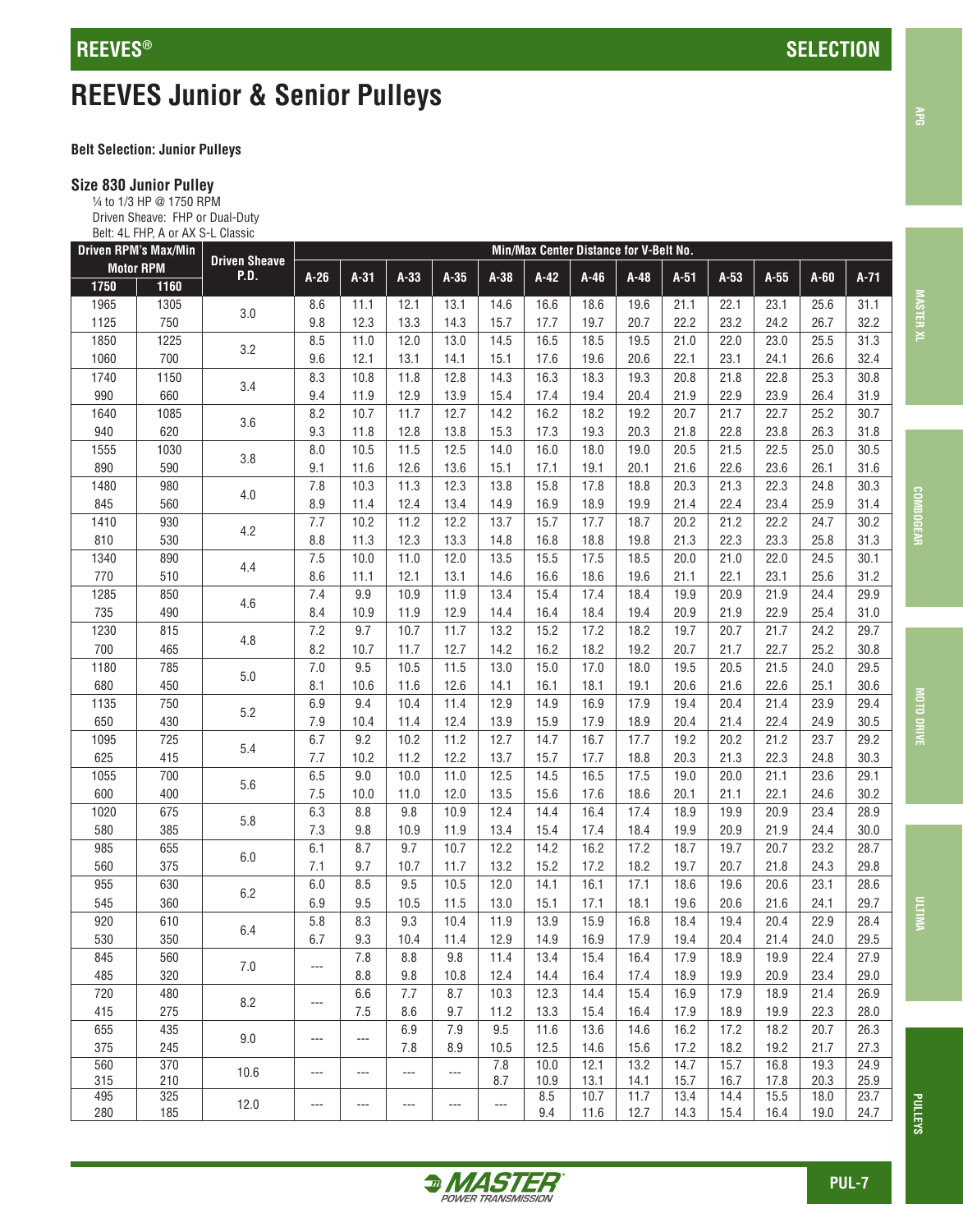#### **Belt Selection: Junior Pulleys**

### **Size 830 Junior Pulley**

1/4 to 1/3 HP @ 1750 RPM Driven Sheave: FHP or Dual-Duty Belt: 4L FHP, A or AX S-L Classic

|      | Driven RPM's Max/Min | <b>Driven Sheave</b> |          |                          |            |          |                          | Min/Max Center Distance for V-Belt No. |              |              |        |        |        |        |        |
|------|----------------------|----------------------|----------|--------------------------|------------|----------|--------------------------|----------------------------------------|--------------|--------------|--------|--------|--------|--------|--------|
|      | <b>Motor RPM</b>     | P.D.                 | $A-26$   | $A-31$                   | $A-33$     | $A-35$   | A-38                     | $A-42$                                 | $A-46$       | $A-48$       | $A-51$ | $A-53$ | $A-55$ | $A-60$ | $A-71$ |
| 1750 | 1160                 |                      |          |                          |            |          |                          |                                        |              |              |        |        |        |        |        |
| 1965 | 1305                 | 3.0                  | 8.6      | 11.1                     | 12.1       | 13.1     | 14.6                     | 16.6                                   | 18.6         | 19.6         | 21.1   | 22.1   | 23.1   | 25.6   | 31.1   |
| 1125 | 750                  |                      | 9.8      | 12.3                     | 13.3       | 14.3     | 15.7                     | 17.7                                   | 19.7         | 20.7         | 22.2   | 23.2   | 24.2   | 26.7   | 32.2   |
| 1850 | 1225                 |                      | 8.5      | 11.0                     | 12.0       | 13.0     | 14.5                     | 16.5                                   | 18.5         | 19.5         | 21.0   | 22.0   | 23.0   | 25.5   | 31.3   |
| 1060 | 700                  | 3.2                  | 9.6      | 12.1                     | 13.1       | 14.1     | 15.1                     | 17.6                                   | 19.6         | 20.6         | 22.1   | 23.1   | 24.1   | 26.6   | 32.4   |
| 1740 | 1150                 |                      | 8.3      | 10.8                     | 11.8       | 12.8     | 14.3                     | 16.3                                   | 18.3         | 19.3         | 20.8   | 21.8   | 22.8   | 25.3   | 30.8   |
| 990  | 660                  | 3.4                  | 9.4      | 11.9                     | 12.9       | 13.9     | 15.4                     | 17.4                                   | 19.4         | 20.4         | 21.9   | 22.9   | 23.9   | 26.4   | 31.9   |
| 1640 | 1085                 |                      | 8.2      | 10.7                     | 11.7       | 12.7     | 14.2                     | 16.2                                   | 18.2         | 19.2         | 20.7   | 21.7   | 22.7   | 25.2   | 30.7   |
| 940  | 620                  | 3.6                  | 9.3      | 11.8                     | 12.8       | 13.8     | 15.3                     | 17.3                                   | 19.3         | 20.3         | 21.8   | 22.8   | 23.8   | 26.3   | 31.8   |
| 1555 | 1030                 |                      | 8.0      | 10.5                     | 11.5       | 12.5     | 14.0                     | 16.0                                   | 18.0         | 19.0         | 20.5   | 21.5   | 22.5   | 25.0   | 30.5   |
| 890  | 590                  | 3.8                  | 9.1      | 11.6                     | 12.6       | 13.6     | 15.1                     | 17.1                                   | 19.1         | 20.1         | 21.6   | 22.6   | 23.6   | 26.1   | 31.6   |
| 1480 | 980                  |                      | 7.8      | 10.3                     | 11.3       | 12.3     | 13.8                     | 15.8                                   | 17.8         | 18.8         | 20.3   | 21.3   | 22.3   | 24.8   | 30.3   |
| 845  | 560                  | 4.0                  | 8.9      | 11.4                     | 12.4       | 13.4     | 14.9                     | 16.9                                   | 18.9         | 19.9         | 21.4   | 22.4   | 23.4   | 25.9   | 31.4   |
| 1410 | 930                  |                      | 7.7      | 10.2                     | 11.2       | 12.2     | 13.7                     | 15.7                                   | 17.7         | 18.7         | 20.2   | 21.2   | 22.2   | 24.7   | 30.2   |
| 810  | 530                  | 4.2                  | 8.8      | 11.3                     | 12.3       | 13.3     | 14.8                     | 16.8                                   | 18.8         | 19.8         | 21.3   | 22.3   | 23.3   | 25.8   | 31.3   |
| 1340 | 890                  |                      | 7.5      | 10.0                     | 11.0       | 12.0     | 13.5                     | 15.5                                   | 17.5         | 18.5         | 20.0   | 21.0   | 22.0   | 24.5   | 30.1   |
| 770  | 510                  | 4.4                  | 8.6      | 11.1                     | 12.1       | 13.1     | 14.6                     | 16.6                                   | 18.6         | 19.6         | 21.1   | 22.1   | 23.1   | 25.6   | 31.2   |
| 1285 | 850                  |                      | 7.4      | 9.9                      | 10.9       | 11.9     | 13.4                     | 15.4                                   | 17.4         | 18.4         | 19.9   | 20.9   | 21.9   | 24.4   | 29.9   |
| 735  | 490                  | 4.6                  | 8.4      | 10.9                     | 11.9       | 12.9     | 14.4                     | 16.4                                   | 18.4         | 19.4         | 20.9   | 21.9   | 22.9   | 25.4   | 31.0   |
| 1230 | 815                  |                      | 7.2      | 9.7                      | 10.7       | 11.7     | 13.2                     | 15.2                                   | 17.2         | 18.2         | 19.7   | 20.7   | 21.7   | 24.2   | 29.7   |
| 700  | 465                  | 4.8                  | 8.2      | 10.7                     | 11.7       | 12.7     | 14.2                     | 16.2                                   | 18.2         | 19.2         | 20.7   | 21.7   | 22.7   | 25.2   | 30.8   |
| 1180 | 785                  |                      | 7.0      | 9.5                      | 10.5       | 11.5     | 13.0                     | 15.0                                   | 17.0         | 18.0         | 19.5   | 20.5   | 21.5   | 24.0   | 29.5   |
| 680  | 450                  | 5.0                  | 8.1      | 10.6                     | 11.6       | 12.6     | 14.1                     | 16.1                                   | 18.1         | 19.1         | 20.6   | 21.6   | 22.6   | 25.1   | 30.6   |
| 1135 | 750                  |                      | 6.9      | 9.4                      | 10.4       | 11.4     | 12.9                     | 14.9                                   | 16.9         | 17.9         | 19.4   | 20.4   | 21.4   | 23.9   | 29.4   |
| 650  | 430                  | 5.2                  | 7.9      | 10.4                     | 11.4       | 12.4     | 13.9                     | 15.9                                   | 17.9         | 18.9         | 20.4   | 21.4   | 22.4   | 24.9   | 30.5   |
| 1095 | 725                  |                      | 6.7      | 9.2                      | 10.2       | 11.2     | 12.7                     | 14.7                                   | 16.7         | 17.7         | 19.2   | 20.2   | 21.2   | 23.7   | 29.2   |
| 625  | 415                  | 5.4                  | 7.7      | 10.2                     | 11.2       | 12.2     | 13.7                     | 15.7                                   | 17.7         | 18.8         | 20.3   | 21.3   | 22.3   | 24.8   | 30.3   |
| 1055 | 700                  |                      | 6.5      | $9.0\,$                  | 10.0       | 11.0     | 12.5                     | 14.5                                   | 16.5         | 17.5         | 19.0   | 20.0   | 21.1   | 23.6   | 29.1   |
| 600  | 400                  | 5.6                  | 7.5      | 10.0                     | 11.0       | 12.0     | 13.5                     | 15.6                                   | 17.6         | 18.6         | 20.1   | 21.1   | 22.1   | 24.6   | 30.2   |
| 1020 | 675                  |                      | 6.3      | 8.8                      | 9.8        | 10.9     | 12.4                     | 14.4                                   | 16.4         | 17.4         | 18.9   | 19.9   | 20.9   | 23.4   | 28.9   |
| 580  | 385                  | 5.8                  | 7.3      | 9.8                      | 10.9       | 11.9     | 13.4                     | 15.4                                   | 17.4         | 18.4         | 19.9   | 20.9   | 21.9   | 24.4   | 30.0   |
| 985  | 655                  |                      | 6.1      | 8.7                      | 9.7        | 10.7     | 12.2                     | 14.2                                   | 16.2         | 17.2         | 18.7   | 19.7   | 20.7   | 23.2   | 28.7   |
| 560  | 375                  | 6.0                  | 7.1      | 9.7                      | 10.7       | 11.7     | 13.2                     | 15.2                                   | 17.2         | 18.2         | 19.7   | 20.7   | 21.8   | 24.3   | 29.8   |
| 955  | 630                  |                      | 6.0      | 8.5                      | 9.5        | 10.5     | 12.0                     | 14.1                                   | 16.1         | 17.1         | 18.6   | 19.6   | 20.6   | 23.1   | 28.6   |
| 545  | 360                  | 6.2                  | 6.9      | 9.5                      | 10.5       | 11.5     | 13.0                     | 15.1                                   | 17.1         | 18.1         | 19.6   | 20.6   | 21.6   | 24.1   | 29.7   |
| 920  | 610                  |                      | 5.8      | 8.3                      | 9.3        | 10.4     | 11.9                     | 13.9                                   | 15.9         | 16.8         | 18.4   | 19.4   | 20.4   | 22.9   | 28.4   |
| 530  | 350                  | 6.4                  | 6.7      | 9.3                      | 10.4       | 11.4     | 12.9                     | 14.9                                   | 16.9         | 17.9         | 19.4   | 20.4   | 21.4   | 24.0   | 29.5   |
| 845  | 560                  |                      |          | 7.8                      | 8.8        | 9.8      | 11.4                     | 13.4                                   | 15.4         | 16.4         | 17.9   | 18.9   | 19.9   | 22.4   | 27.9   |
| 485  | 320                  | 7.0                  | $---$    | 8.8                      | 9.8        | 10.8     | 12.4                     | 14.4                                   | 16.4         | 17.4         | 18.9   | 19.9   | 20.9   | 23.4   | 29.0   |
| 720  | 480                  |                      |          | $6.6\,$                  | 7.7        | 8.7      | 10.3                     | 12.3                                   | 14.4         | 15.4         | 16.9   | 17.9   | 18.9   | 21.4   | 26.9   |
| 415  | 275                  | 8.2                  | $\cdots$ | 7.5                      |            | 9.7      | 11.2                     | 13.3                                   | 15.4         | 16.4         | 17.9   | 18.9   | 19.9   | 22.3   | 28.0   |
| 655  | 435                  |                      |          |                          | 8.6<br>6.9 | 7.9      | 9.5                      | 11.6                                   | 13.6         | 14.6         | 16.2   | 17.2   | 18.2   | 20.7   | 26.3   |
| 375  | 245                  | 9.0                  | $\cdots$ | $\hspace{0.05cm} \ldots$ | 7.8        | 8.9      | 10.5                     | 12.5                                   |              |              | 17.2   | 18.2   | 19.2   | 21.7   | 27.3   |
| 560  | 370                  |                      |          |                          |            |          | 7.8                      | 10.0                                   | 14.6<br>12.1 | 15.6<br>13.2 | 14.7   | 15.7   | 16.8   | 19.3   | 24.9   |
| 315  | 210                  | 10.6                 | $\cdots$ | $\hspace{0.05cm} \ldots$ | $---$      | $\cdots$ | 8.7                      | 10.9                                   | 13.1         | 14.1         | 15.7   | 16.7   | 17.8   | 20.3   | 25.9   |
| 495  | 325                  |                      |          |                          |            |          |                          | 8.5                                    | 10.7         | 11.7         | 13.4   | 14.4   | 15.5   | 18.0   | 23.7   |
| 280  | 185                  | 12.0                 | ---      | ---                      | ---        | ---      | $\overline{\phantom{a}}$ | 9.4                                    | 11.6         | 12.7         | 14.3   | 15.4   | 16.4   | 19.0   | 24.7   |

**MASTER XL** 

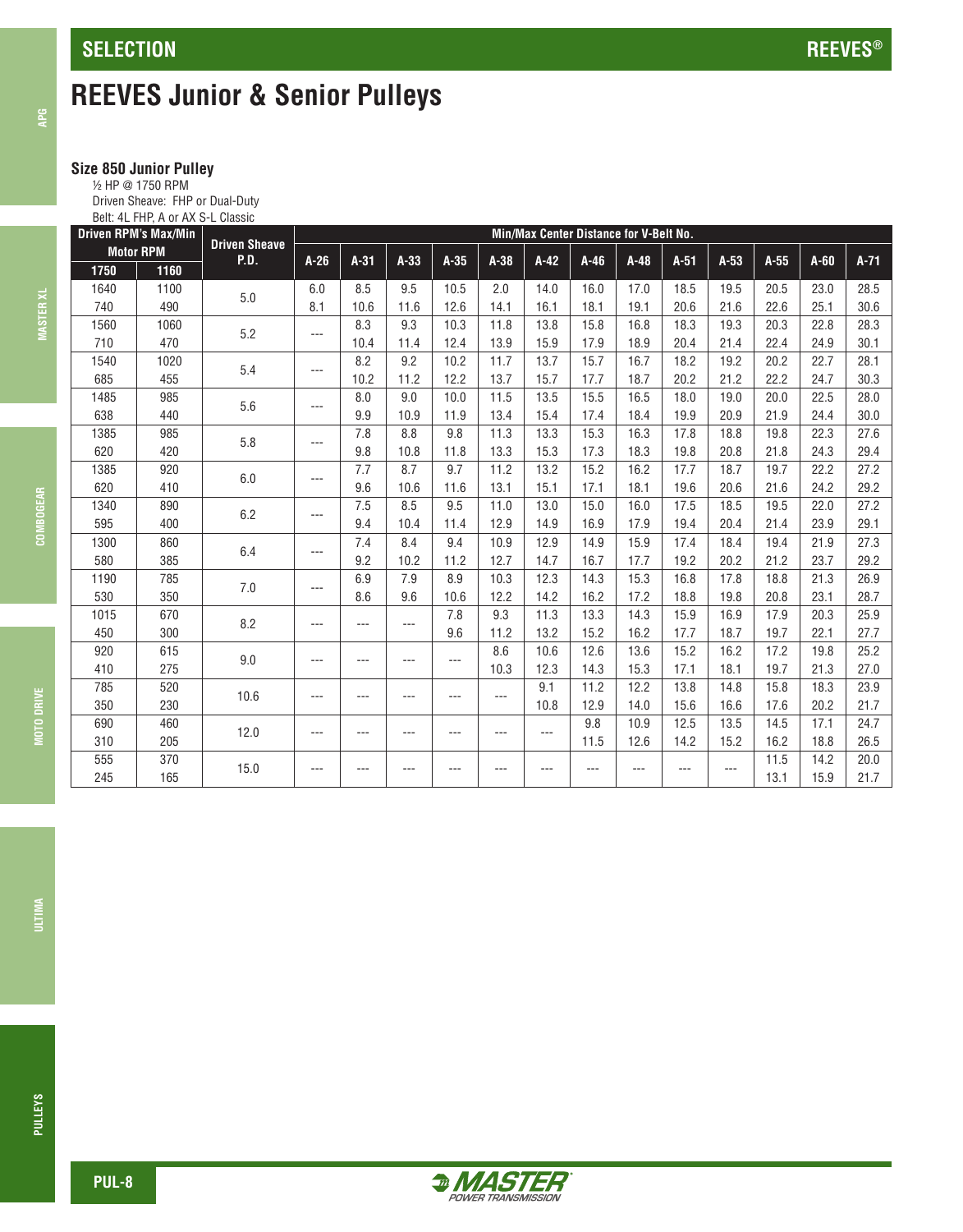### **Size 850 Junior Pulley**

½ HP @ 1750 RPM

Driven Sheave: FHP or Dual-Duty Belt: 4L FHP, A or AX S-L Classic

|      | <b>Driven RPM's Max/Min</b> |                              |                     |        |        |          |       |        | Min/Max Center Distance for V-Belt No. |        |        |        |        |        |        |
|------|-----------------------------|------------------------------|---------------------|--------|--------|----------|-------|--------|----------------------------------------|--------|--------|--------|--------|--------|--------|
|      | <b>Motor RPM</b>            | <b>Driven Sheave</b><br>P.D. | $A-26$              | $A-31$ | $A-33$ | $A-35$   | A-38  | $A-42$ | $A-46$                                 | $A-48$ | $A-51$ | $A-53$ | $A-55$ | $A-60$ | $A-71$ |
| 1750 | 1160                        |                              |                     |        |        |          |       |        |                                        |        |        |        |        |        |        |
| 1640 | 1100                        | 5.0                          | 6.0                 | 8.5    | 9.5    | 10.5     | 2.0   | 14.0   | 16.0                                   | 17.0   | 18.5   | 19.5   | 20.5   | 23.0   | 28.5   |
| 740  | 490                         |                              | 8.1                 | 10.6   | 11.6   | 12.6     | 14.1  | 16.1   | 18.1                                   | 19.1   | 20.6   | 21.6   | 22.6   | 25.1   | 30.6   |
| 1560 | 1060                        |                              | $---$               | 8.3    | 9.3    | 10.3     | 11.8  | 13.8   | 15.8                                   | 16.8   | 18.3   | 19.3   | 20.3   | 22.8   | 28.3   |
| 710  | 470                         | 5.2                          |                     | 10.4   | 11.4   | 12.4     | 13.9  | 15.9   | 17.9                                   | 18.9   | 20.4   | 21.4   | 22.4   | 24.9   | 30.1   |
| 1540 | 1020                        | 5.4                          | $---$               | 8.2    | 9.2    | 10.2     | 11.7  | 13.7   | 15.7                                   | 16.7   | 18.2   | 19.2   | 20.2   | 22.7   | 28.1   |
| 685  | 455                         |                              |                     | 10.2   | 11.2   | 12.2     | 13.7  | 15.7   | 17.7                                   | 18.7   | 20.2   | 21.2   | 22.2   | 24.7   | 30.3   |
| 1485 | 985                         | 5.6                          | $---$               | 8.0    | 9.0    | 10.0     | 11.5  | 13.5   | 15.5                                   | 16.5   | 18.0   | 19.0   | 20.0   | 22.5   | 28.0   |
| 638  | 440                         |                              |                     | 9.9    | 10.9   | 11.9     | 13.4  | 15.4   | 17.4                                   | 18.4   | 19.9   | 20.9   | 21.9   | 24.4   | 30.0   |
| 1385 | 985                         | 5.8                          | $---$               | 7.8    | 8.8    | 9.8      | 11.3  | 13.3   | 15.3                                   | 16.3   | 17.8   | 18.8   | 19.8   | 22.3   | 27.6   |
| 620  | 420                         |                              |                     | 9.8    | 10.8   | 11.8     | 13.3  | 15.3   | 17.3                                   | 18.3   | 19.8   | 20.8   | 21.8   | 24.3   | 29.4   |
| 1385 | 920                         | 6.0                          | $\cdots$            | 7.7    | 8.7    | 9.7      | 11.2  | 13.2   | 15.2                                   | 16.2   | 17.7   | 18.7   | 19.7   | 22.2   | 27.2   |
| 620  | 410                         |                              |                     | 9.6    | 10.6   | 11.6     | 13.1  | 15.1   | 17.1                                   | 18.1   | 19.6   | 20.6   | 21.6   | 24.2   | 29.2   |
| 1340 | 890                         | 6.2                          | $\qquad \qquad - -$ | 7.5    | 8.5    | 9.5      | 11.0  | 13.0   | 15.0                                   | 16.0   | 17.5   | 18.5   | 19.5   | 22.0   | 27.2   |
| 595  | 400                         |                              |                     | 9.4    | 10.4   | 11.4     | 12.9  | 14.9   | 16.9                                   | 17.9   | 19.4   | 20.4   | 21.4   | 23.9   | 29.1   |
| 1300 | 860                         | 6.4                          | $\qquad \qquad - -$ | 7.4    | 8.4    | 9.4      | 10.9  | 12.9   | 14.9                                   | 15.9   | 17.4   | 18.4   | 19.4   | 21.9   | 27.3   |
| 580  | 385                         |                              |                     | 9.2    | 10.2   | 11.2     | 12.7  | 14.7   | 16.7                                   | 17.7   | 19.2   | 20.2   | 21.2   | 23.7   | 29.2   |
| 1190 | 785                         | $7.0$                        | ---                 | 6.9    | 7.9    | 8.9      | 10.3  | 12.3   | 14.3                                   | 15.3   | 16.8   | 17.8   | 18.8   | 21.3   | 26.9   |
| 530  | 350                         |                              |                     | 8.6    | 9.6    | 10.6     | 12.2  | 14.2   | 16.2                                   | 17.2   | 18.8   | 19.8   | 20.8   | 23.1   | 28.7   |
| 1015 | 670                         | 8.2                          | $---$               | ---    | $---$  | 7.8      | 9.3   | 11.3   | 13.3                                   | 14.3   | 15.9   | 16.9   | 17.9   | 20.3   | 25.9   |
| 450  | 300                         |                              |                     |        |        | 9.6      | 11.2  | 13.2   | 15.2                                   | 16.2   | 17.7   | 18.7   | 19.7   | 22.1   | 27.7   |
| 920  | 615                         | 9.0                          | $---$               | ---    | ---    | $\cdots$ | 8.6   | 10.6   | 12.6                                   | 13.6   | 15.2   | 16.2   | 17.2   | 19.8   | 25.2   |
| 410  | 275                         |                              |                     |        |        |          | 10.3  | 12.3   | 14.3                                   | 15.3   | 17.1   | 18.1   | 19.7   | 21.3   | 27.0   |
| 785  | 520                         | 10.6                         | $---$               | ---    | ---    | $---$    | $---$ | 9.1    | 11.2                                   | 12.2   | 13.8   | 14.8   | 15.8   | 18.3   | 23.9   |
| 350  | 230                         |                              |                     |        |        |          |       | 10.8   | 12.9                                   | 14.0   | 15.6   | 16.6   | 17.6   | 20.2   | 21.7   |
| 690  | 460                         | 12.0                         | $---$               | $---$  | ---    | $---$    | $---$ | ---    | 9.8                                    | 10.9   | 12.5   | 13.5   | 14.5   | 17.1   | 24.7   |
| 310  | 205                         |                              |                     |        |        |          |       |        | 11.5                                   | 12.6   | 14.2   | 15.2   | 16.2   | 18.8   | 26.5   |
| 555  | 370                         | 15.0                         | ---                 | ---    | ---    | $---$    | ---   | ---    | ---                                    | ---    | ---    | ---    | 11.5   | 14.2   | 20.0   |
| 245  | 165                         |                              |                     |        |        |          |       |        |                                        |        |        |        | 13.1   | 15.9   | 21.7   |

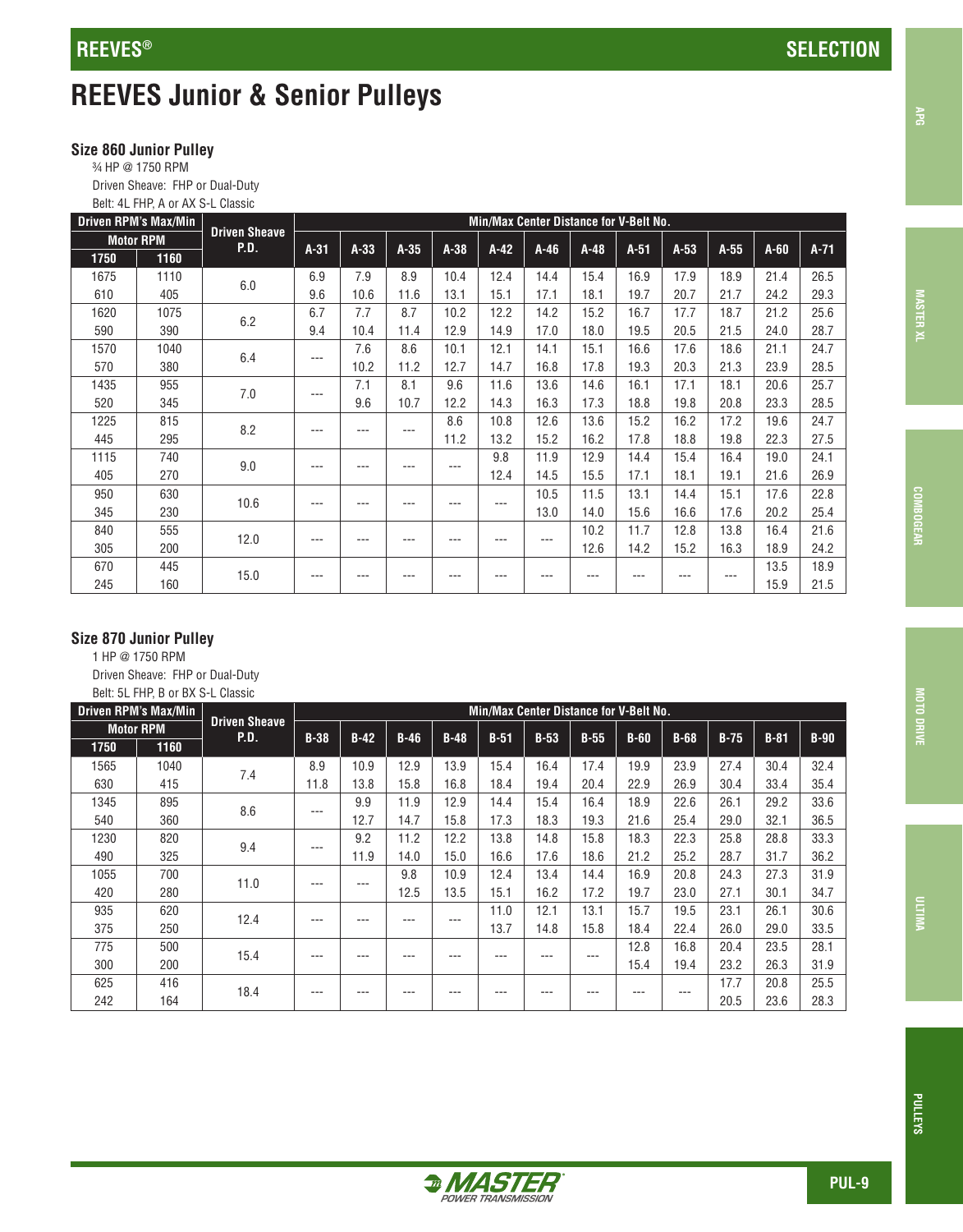**APG**

### **REEVES Junior & Senior Pulleys**

#### **Size 860 Junior Pulley**

¾ HP @ 1750 RPM

Driven Sheave: FHP or Dual-Duty Belt: 4L FHP, A or AX S-L Classic

| <b>Driven RPM's Max/Min</b> |                  |                                     |        |         |        |        |         | <b>Min/Max Center Distance for V-Belt No.</b> |        |        |        |        |        |        |
|-----------------------------|------------------|-------------------------------------|--------|---------|--------|--------|---------|-----------------------------------------------|--------|--------|--------|--------|--------|--------|
|                             | <b>Motor RPM</b> | <b>Driven Sheave</b><br><b>P.D.</b> | $A-31$ | $A-33$  | $A-35$ | $A-38$ | $A-42$  | $A-46$                                        | $A-48$ | $A-51$ | $A-53$ | $A-55$ | $A-60$ | $A-71$ |
| 1750                        | 1160             |                                     |        |         |        |        |         |                                               |        |        |        |        |        |        |
| 1675                        | 1110             | 6.0                                 | 6.9    | 7.9     | 8.9    | 10.4   | 12.4    | 14.4                                          | 15.4   | 16.9   | 17.9   | 18.9   | 21.4   | 26.5   |
| 610                         | 405              |                                     | 9.6    | 10.6    | 11.6   | 13.1   | 15.1    | 17.1                                          | 18.1   | 19.7   | 20.7   | 21.7   | 24.2   | 29.3   |
| 1620                        | 1075             | 6.2                                 | 6.7    | 7.7     | 8.7    | 10.2   | 12.2    | 14.2                                          | 15.2   | 16.7   | 17.7   | 18.7   | 21.2   | 25.6   |
| 590                         | 390              |                                     | 9.4    | 10.4    | 11.4   | 12.9   | 14.9    | 17.0                                          | 18.0   | 19.5   | 20.5   | 21.5   | 24.0   | 28.7   |
| 1570                        | 1040             | 6.4                                 | ---    | 7.6     | 8.6    | 10.1   | 12.1    | 14.1                                          | 15.1   | 16.6   | 17.6   | 18.6   | 21.1   | 24.7   |
| 570                         | 380              |                                     |        | 10.2    | 11.2   | 12.7   | 14.7    | 16.8                                          | 17.8   | 19.3   | 20.3   | 21.3   | 23.9   | 28.5   |
| 1435                        | 955              | 7.0                                 | ---    | 7.1     | 8.1    | 9.6    | 11.6    | 13.6                                          | 14.6   | 16.1   | 17.1   | 18.1   | 20.6   | 25.7   |
| 520                         | 345              |                                     |        | 9.6     | 10.7   | 12.2   | 14.3    | 16.3                                          | 17.3   | 18.8   | 19.8   | 20.8   | 23.3   | 28.5   |
| 1225                        | 815              | 8.2                                 | ---    | $- - -$ | ---    | 8.6    | 10.8    | 12.6                                          | 13.6   | 15.2   | 16.2   | 17.2   | 19.6   | 24.7   |
| 445                         | 295              |                                     |        |         |        | 11.2   | 13.2    | 15.2                                          | 16.2   | 17.8   | 18.8   | 19.8   | 22.3   | 27.5   |
| 1115                        | 740              | 9.0                                 | ---    | ---     | ---    | ---    | 9.8     | 11.9                                          | 12.9   | 14.4   | 15.4   | 16.4   | 19.0   | 24.1   |
| 405                         | 270              |                                     |        |         |        |        | 12.4    | 14.5                                          | 15.5   | 17.1   | 18.1   | 19.1   | 21.6   | 26.9   |
| 950                         | 630              | 10.6                                | ---    | ---     | ---    | ---    | $---$   | 10.5                                          | 11.5   | 13.1   | 14.4   | 15.1   | 17.6   | 22.8   |
| 345                         | 230              |                                     |        |         |        |        |         | 13.0                                          | 14.0   | 15.6   | 16.6   | 17.6   | 20.2   | 25.4   |
| 840                         | 555              | 12.0                                | ---    | ---     | ---    | ---    | $- - -$ | ---                                           | 10.2   | 11.7   | 12.8   | 13.8   | 16.4   | 21.6   |
| 305                         | 200              |                                     |        |         |        |        |         |                                               | 12.6   | 14.2   | 15.2   | 16.3   | 18.9   | 24.2   |
| 670                         | 445              | 15.0                                | ---    | ---     | ---    | ---    | ---     |                                               | ---    | $---$  | ---    | ---    | 13.5   | 18.9   |
| 245                         | 160              |                                     |        |         |        |        |         | ---                                           |        |        |        |        | 15.9   | 21.5   |

### **Size 870 Junior Pulley**

1 HP @ 1750 RPM Driven Sheave: FHP or Dual-Duty Belt: 5L FHP, B or BX S-L Classic

| <b>Driven RPM's Max/Min</b> |                  |                              |         |        |        |        |         |        | <b>Min/Max Center Distance for V-Belt No.</b> |        |        |        |        |        |
|-----------------------------|------------------|------------------------------|---------|--------|--------|--------|---------|--------|-----------------------------------------------|--------|--------|--------|--------|--------|
|                             | <b>Motor RPM</b> | <b>Driven Sheave</b><br>P.D. | $B-38$  | $B-42$ | $B-46$ | $B-48$ | $B-51$  | $B-53$ | $B-55$                                        | $B-60$ | $B-68$ | $B-75$ | $B-81$ | $B-90$ |
| 1750                        | 1160             |                              |         |        |        |        |         |        |                                               |        |        |        |        |        |
| 1565                        | 1040             | 7.4                          | 8.9     | 10.9   | 12.9   | 13.9   | 15.4    | 16.4   | 17.4                                          | 19.9   | 23.9   | 27.4   | 30.4   | 32.4   |
| 630                         | 415              |                              | 11.8    | 13.8   | 15.8   | 16.8   | 18.4    | 19.4   | 20.4                                          | 22.9   | 26.9   | 30.4   | 33.4   | 35.4   |
| 1345                        | 895              | 8.6                          | $---$   | 9.9    | 11.9   | 12.9   | 14.4    | 15.4   | 16.4                                          | 18.9   | 22.6   | 26.1   | 29.2   | 33.6   |
| 540                         | 360              |                              |         | 12.7   | 14.7   | 15.8   | 17.3    | 18.3   | 19.3                                          | 21.6   | 25.4   | 29.0   | 32.1   | 36.5   |
| 1230                        | 820              | 9.4                          | $---$   | 9.2    | 11.2   | 12.2   | 13.8    | 14.8   | 15.8                                          | 18.3   | 22.3   | 25.8   | 28.8   | 33.3   |
| 490                         | 325              |                              |         | 11.9   | 14.0   | 15.0   | 16.6    | 17.6   | 18.6                                          | 21.2   | 25.2   | 28.7   | 31.7   | 36.2   |
| 1055                        | 700              | 11.0                         | ---     | ---    | 9.8    | 10.9   | 12.4    | 13.4   | 14.4                                          | 16.9   | 20.8   | 24.3   | 27.3   | 31.9   |
| 420                         | 280              |                              |         |        | 12.5   | 13.5   | 15.1    | 16.2   | 17.2                                          | 19.7   | 23.0   | 27.1   | 30.1   | 34.7   |
| 935                         | 620              | 12.4                         | $- - -$ | ---    | ---    | ---    | 11.0    | 12.1   | 13.1                                          | 15.7   | 19.5   | 23.1   | 26.1   | 30.6   |
| 375                         | 250              |                              |         |        |        |        | 13.7    | 14.8   | 15.8                                          | 18.4   | 22.4   | 26.0   | 29.0   | 33.5   |
| 775                         | 500              | 15.4                         | $- - -$ | ---    | ---    | ---    | $- - -$ | ---    | ---                                           | 12.8   | 16.8   | 20.4   | 23.5   | 28.1   |
| 300                         | 200              |                              |         |        |        |        |         |        |                                               | 15.4   | 19.4   | 23.2   | 26.3   | 31.9   |
| 625                         | 416              | 18.4                         | ---     | ---    | ---    | ---    | ---     | ---    | ---                                           | ---    | ---    | 17.7   | 20.8   | 25.5   |
| 242                         | 164              |                              |         |        |        |        |         |        |                                               |        |        | 20.5   | 23.6   | 28.3   |



**COMBOGEAR**

**COMBOGEAR** 

**MASTER XL** 

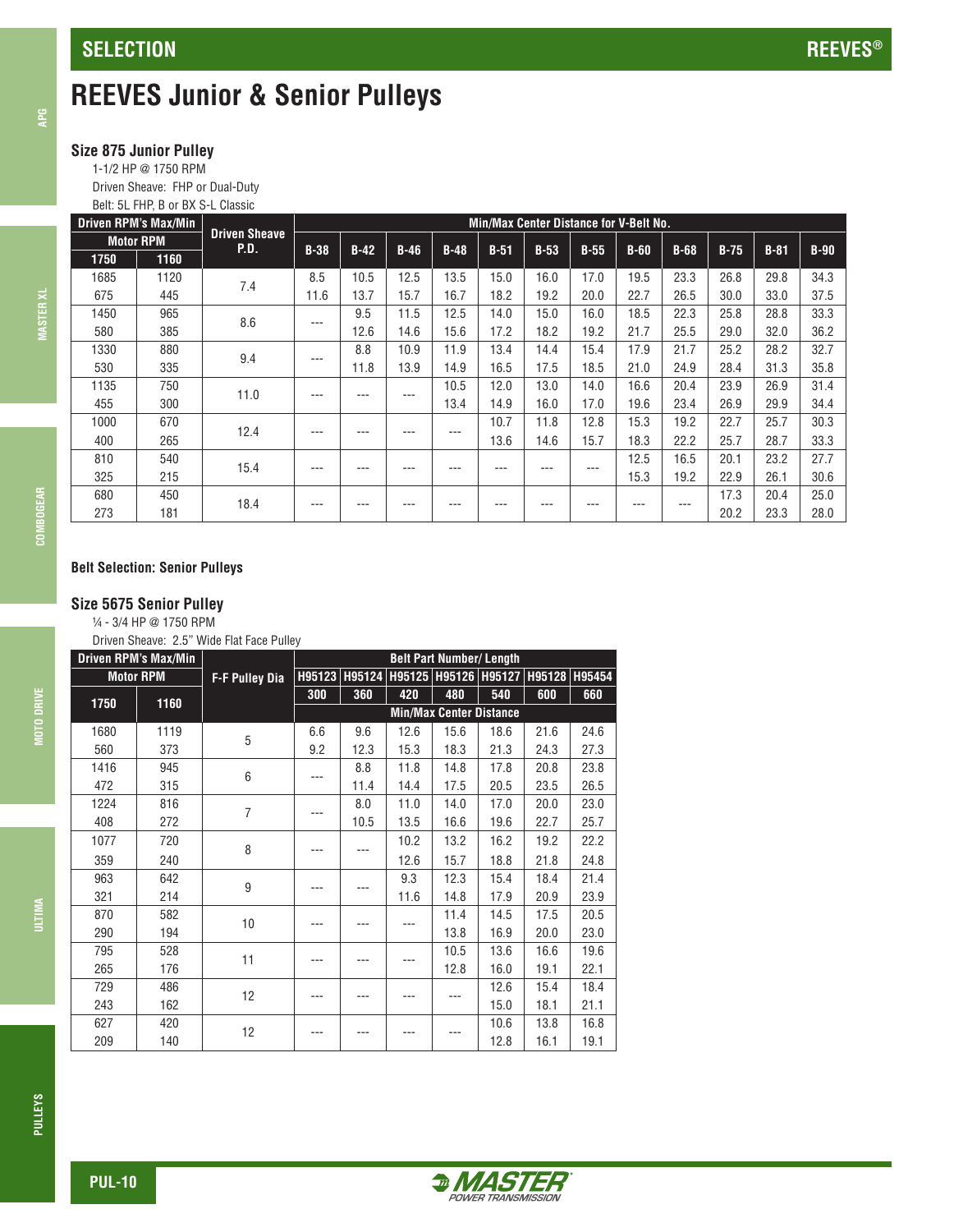**INSTER XL** 

# **REEVES Junior & Senior Pulleys**

**Size 875 Junior Pulley**

1-1/2 HP @ 1750 RPM Driven Sheave: FHP or Dual-Duty

Belt: 5L FHP, B or BX S-L Classic

|      | <b>Driven RPM's Max/Min</b> |                              |        |         |        |        |        |        | <b>Min/Max Center Distance for V-Belt No.</b> |         |        |        |        |        |
|------|-----------------------------|------------------------------|--------|---------|--------|--------|--------|--------|-----------------------------------------------|---------|--------|--------|--------|--------|
|      | <b>Motor RPM</b>            | <b>Driven Sheave</b><br>P.D. | $B-38$ | $B-42$  | $B-46$ | $B-48$ | $B-51$ | $B-53$ | $B-55$                                        | $B-60$  | $B-68$ | $B-75$ | $B-81$ | $B-90$ |
| 1750 | 1160                        |                              |        |         |        |        |        |        |                                               |         |        |        |        |        |
| 1685 | 1120                        | 7.4                          | 8.5    | 10.5    | 12.5   | 13.5   | 15.0   | 16.0   | 17.0                                          | 19.5    | 23.3   | 26.8   | 29.8   | 34.3   |
| 675  | 445                         |                              | 11.6   | 13.7    | 15.7   | 16.7   | 18.2   | 19.2   | 20.0                                          | 22.7    | 26.5   | 30.0   | 33.0   | 37.5   |
| 1450 | 965                         | 8.6                          | ---    | 9.5     | 11.5   | 12.5   | 14.0   | 15.0   | 16.0                                          | 18.5    | 22.3   | 25.8   | 28.8   | 33.3   |
| 580  | 385                         |                              |        | 12.6    | 14.6   | 15.6   | 17.2   | 18.2   | 19.2                                          | 21.7    | 25.5   | 29.0   | 32.0   | 36.2   |
| 1330 | 880                         |                              | ---    | 8.8     | 10.9   | 11.9   | 13.4   | 14.4   | 15.4                                          | 17.9    | 21.7   | 25.2   | 28.2   | 32.7   |
| 530  | 335                         | 9.4                          |        | 11.8    | 13.9   | 14.9   | 16.5   | 17.5   | 18.5                                          | 21.0    | 24.9   | 28.4   | 31.3   | 35.8   |
| 1135 | 750                         | 11.0                         | ---    | $- - -$ | ---    | 10.5   | 12.0   | 13.0   | 14.0                                          | 16.6    | 20.4   | 23.9   | 26.9   | 31.4   |
| 455  | 300                         |                              |        |         |        | 13.4   | 14.9   | 16.0   | 17.0                                          | 19.6    | 23.4   | 26.9   | 29.9   | 34.4   |
| 1000 | 670                         | 12.4                         | ---    | $- - -$ | ---    | ---    | 10.7   | 11.8   | 12.8                                          | 15.3    | 19.2   | 22.7   | 25.7   | 30.3   |
| 400  | 265                         |                              |        |         |        |        | 13.6   | 14.6   | 15.7                                          | 18.3    | 22.2   | 25.7   | 28.7   | 33.3   |
| 810  | 540                         | 15.4                         | ---    | $- - -$ | ---    |        | ---    | ---    | ---                                           | 12.5    | 16.5   | 20.1   | 23.2   | 27.7   |
| 325  | 215                         |                              |        |         |        |        |        |        |                                               | 15.3    | 19.2   | 22.9   | 26.1   | 30.6   |
| 680  | 450                         | 18.4                         | ---    | ---     | ---    | ---    | ---    | ---    | ---                                           | $- - -$ | ---    | 17.3   | 20.4   | 25.0   |
| 273  | 181                         |                              |        |         |        |        |        |        |                                               |         |        | 20.2   | 23.3   | 28.0   |

#### **Belt Selection: Senior Pulleys**

### **Size 5675 Senior Pulley**

1/4 - 3/4 HP @ 1750 RPM

Driven Sheave: 2.5" Wide Flat Face Pulley

|      | <b>Driven RPM's Max/Min</b> |                       |     |      |      | <b>Belt Part Number/Length</b> |      |                                                  |      |
|------|-----------------------------|-----------------------|-----|------|------|--------------------------------|------|--------------------------------------------------|------|
|      | <b>Motor RPM</b>            | <b>F-F Pulley Dia</b> |     |      |      |                                |      | H95123 H95124 H95125 H95126 H95127 H95128 H95454 |      |
| 1750 | 1160                        |                       | 300 | 360  | 420  | 480                            | 540  | 600                                              | 660  |
|      |                             |                       |     |      |      | <b>Min/Max Center Distance</b> |      |                                                  |      |
| 1680 | 1119                        | 5                     | 6.6 | 9.6  | 12.6 | 15.6                           | 18.6 | 21.6                                             | 24.6 |
| 560  | 373                         |                       | 9.2 | 12.3 | 15.3 | 18.3                           | 21.3 | 24.3                                             | 27.3 |
| 1416 | 945                         | 6                     | --- | 8.8  | 11.8 | 14.8                           | 17.8 | 20.8                                             | 23.8 |
| 472  | 315                         |                       |     | 11.4 | 14.4 | 17.5                           | 20.5 | 23.5                                             | 26.5 |
| 1224 | 816                         | $\overline{7}$        |     | 8.0  | 11.0 | 14.0                           | 17.0 | 20.0                                             | 23.0 |
| 408  | 272                         |                       |     | 10.5 | 13.5 | 16.6                           | 19.6 | 22.7                                             | 25.7 |
| 1077 | 720                         | 8                     |     |      | 10.2 | 13.2                           | 16.2 | 19.2                                             | 22.2 |
| 359  | 240                         |                       |     |      | 12.6 | 15.7                           | 18.8 | 21.8                                             | 24.8 |
| 963  | 642                         | 9                     |     |      | 9.3  | 12.3                           | 15.4 | 18.4                                             | 21.4 |
| 321  | 214                         |                       |     |      | 11.6 | 14.8                           | 17.9 | 20.9                                             | 23.9 |
| 870  | 582                         | 10                    |     |      |      | 11.4                           | 14.5 | 17.5                                             | 20.5 |
| 290  | 194                         |                       |     |      |      | 13.8                           | 16.9 | 20.0                                             | 23.0 |
| 795  | 528                         | 11                    |     |      | ---  | 10.5                           | 13.6 | 16.6                                             | 19.6 |
| 265  | 176                         |                       |     |      |      | 12.8                           | 16.0 | 19.1                                             | 22.1 |
| 729  | 486                         | 12                    |     |      |      |                                | 12.6 | 15.4                                             | 18.4 |
| 243  | 162                         |                       |     |      |      |                                | 15.0 | 18.1                                             | 21.1 |
| 627  | 420                         | 12                    |     |      |      | ---                            | 10.6 | 13.8                                             | 16.8 |
| 209  | 140                         |                       |     |      |      |                                | 12.8 | 16.1                                             | 19.1 |

**MOTO DRIVE**

**COMBOGEAR** 



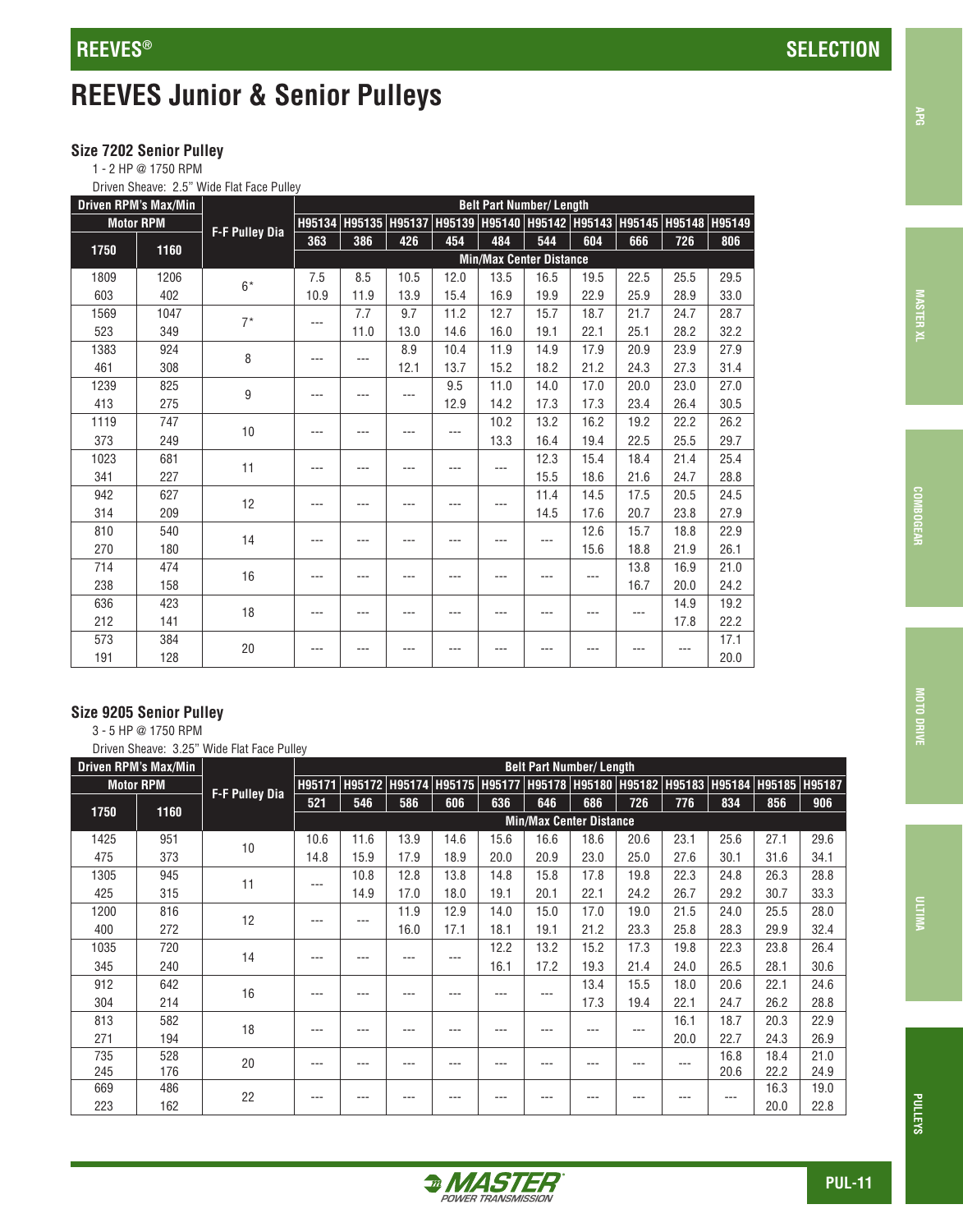### **Size 7202 Senior Pulley**

1 - 2 HP @ 1750 RPM

Driven Sheave: 2.5" Wide Flat Face Pulley

| <b>Driven RPM's Max/Min</b> |      |                       |      |      |       |                                                                       |       | <b>Belt Part Number/ Length</b> |      |      |      |      |
|-----------------------------|------|-----------------------|------|------|-------|-----------------------------------------------------------------------|-------|---------------------------------|------|------|------|------|
| <b>Motor RPM</b>            |      | <b>F-F Pulley Dia</b> |      |      |       | H95134 H95135 H95137 H95139 H95140 H95142 H95143 H95145 H95148 H95149 |       |                                 |      |      |      |      |
| 1750                        | 1160 |                       | 363  | 386  | 426   | 454                                                                   | 484   | 544                             | 604  | 666  | 726  | 806  |
|                             |      |                       |      |      |       |                                                                       |       | <b>Min/Max Center Distance</b>  |      |      |      |      |
| 1809                        | 1206 | $6*$                  | 7.5  | 8.5  | 10.5  | 12.0                                                                  | 13.5  | 16.5                            | 19.5 | 22.5 | 25.5 | 29.5 |
| 603                         | 402  |                       | 10.9 | 11.9 | 13.9  | 15.4                                                                  | 16.9  | 19.9                            | 22.9 | 25.9 | 28.9 | 33.0 |
| 1569                        | 1047 | $7*$                  | ---  | 7.7  | 9.7   | 11.2                                                                  | 12.7  | 15.7                            | 18.7 | 21.7 | 24.7 | 28.7 |
| 523                         | 349  |                       |      | 11.0 | 13.0  | 14.6                                                                  | 16.0  | 19.1                            | 22.1 | 25.1 | 28.2 | 32.2 |
| 1383                        | 924  | 8                     | ---  | ---  | 8.9   | 10.4                                                                  | 11.9  | 14.9                            | 17.9 | 20.9 | 23.9 | 27.9 |
| 461                         | 308  |                       |      |      | 12.1  | 13.7                                                                  | 15.2  | 18.2                            | 21.2 | 24.3 | 27.3 | 31.4 |
| 1239                        | 825  | 9                     |      |      |       | 9.5                                                                   | 11.0  | 14.0                            | 17.0 | 20.0 | 23.0 | 27.0 |
| 413                         | 275  |                       | ---  | ---  | $---$ | 12.9                                                                  | 14.2  | 17.3                            | 17.3 | 23.4 | 26.4 | 30.5 |
| 1119                        | 747  | 10                    |      |      |       |                                                                       | 10.2  | 13.2                            | 16.2 | 19.2 | 22.2 | 26.2 |
| 373                         | 249  |                       | ---  | ---  | ---   | ---                                                                   | 13.3  | 16.4                            | 19.4 | 22.5 | 25.5 | 29.7 |
| 1023                        | 681  | 11                    |      |      |       |                                                                       |       | 12.3                            | 15.4 | 18.4 | 21.4 | 25.4 |
| 341                         | 227  |                       | ---  |      |       | ---                                                                   | $---$ | 15.5                            | 18.6 | 21.6 | 24.7 | 28.8 |
| 942                         | 627  | 12                    | ---  | ---  |       | ---                                                                   |       | 11.4                            | 14.5 | 17.5 | 20.5 | 24.5 |
| 314                         | 209  |                       |      |      |       |                                                                       | $---$ | 14.5                            | 17.6 | 20.7 | 23.8 | 27.9 |
| 810                         | 540  | 14                    | ---  | ---  |       |                                                                       |       | $---$                           | 12.6 | 15.7 | 18.8 | 22.9 |
| 270                         | 180  |                       |      |      |       |                                                                       |       |                                 | 15.6 | 18.8 | 21.9 | 26.1 |
| 714                         | 474  | 16                    | ---  |      |       | ---                                                                   |       |                                 |      | 13.8 | 16.9 | 21.0 |
| 238                         | 158  |                       |      | ---  |       |                                                                       |       | ---                             | ---  | 16.7 | 20.0 | 24.2 |
| 636                         | 423  |                       | ---  | ---  |       |                                                                       |       | ---                             | ---  |      | 14.9 | 19.2 |
| 212                         | 141  | 18                    |      |      |       |                                                                       |       |                                 |      | ---  | 17.8 | 22.2 |
| 573                         | 384  | 20                    |      |      |       |                                                                       |       |                                 |      |      |      | 17.1 |
| 191                         | 128  |                       |      |      |       |                                                                       |       |                                 |      |      |      | 20.0 |

### **Size 9205 Senior Pulley**

3 - 5 HP @ 1750 RPM

Driven Sheave: 3.25" Wide Flat Face Pulley

| <b>Driven RPM's Max/Min</b> |      |                       |      |                 |      |                                                                                         |      |      | <b>Belt Part Number/ Length</b> |      |      |      |      |      |
|-----------------------------|------|-----------------------|------|-----------------|------|-----------------------------------------------------------------------------------------|------|------|---------------------------------|------|------|------|------|------|
| <b>Motor RPM</b>            |      |                       |      | H95171   H95172 |      | H95174   H95175   H95177   H95178   H95180   H95182   H95183   H95184   H95185   H95187 |      |      |                                 |      |      |      |      |      |
| 1750                        | 1160 | <b>F-F Pulley Dia</b> | 521  | 546             | 586  | 606                                                                                     | 636  | 646  | 686                             | 726  | 776  | 834  | 856  | 906  |
|                             |      |                       |      |                 |      |                                                                                         |      |      | <b>Min/Max Center Distance</b>  |      |      |      |      |      |
| 1425                        | 951  | 10                    | 10.6 | 11.6            | 13.9 | 14.6                                                                                    | 15.6 | 16.6 | 18.6                            | 20.6 | 23.1 | 25.6 | 27.1 | 29.6 |
| 475                         | 373  |                       | 14.8 | 15.9            | 17.9 | 18.9                                                                                    | 20.0 | 20.9 | 23.0                            | 25.0 | 27.6 | 30.1 | 31.6 | 34.1 |
| 1305                        | 945  | 11                    | ---  | 10.8            | 12.8 | 13.8                                                                                    | 14.8 | 15.8 | 17.8                            | 19.8 | 22.3 | 24.8 | 26.3 | 28.8 |
| 425                         | 315  |                       |      | 14.9            | 17.0 | 18.0                                                                                    | 19.1 | 20.1 | 22.1                            | 24.2 | 26.7 | 29.2 | 30.7 | 33.3 |
| 1200                        | 816  | 12                    |      |                 | 11.9 | 12.9                                                                                    | 14.0 | 15.0 | 17.0                            | 19.0 | 21.5 | 24.0 | 25.5 | 28.0 |
| 400                         | 272  |                       | ---  | ---             | 16.0 | 17.1                                                                                    | 18.1 | 19.1 | 21.2                            | 23.3 | 25.8 | 28.3 | 29.9 | 32.4 |
| 1035                        | 720  | 14                    | ---  |                 | ---  | ---                                                                                     | 12.2 | 13.2 | 15.2                            | 17.3 | 19.8 | 22.3 | 23.8 | 26.4 |
| 345                         | 240  |                       |      |                 |      |                                                                                         | 16.1 | 17.2 | 19.3                            | 21.4 | 24.0 | 26.5 | 28.1 | 30.6 |
| 912                         | 642  | 16                    | ---  | ---             | ---  |                                                                                         | ---  | ---  | 13.4                            | 15.5 | 18.0 | 20.6 | 22.1 | 24.6 |
| 304                         | 214  |                       |      |                 |      |                                                                                         |      |      | 17.3                            | 19.4 | 22.1 | 24.7 | 26.2 | 28.8 |
| 813                         | 582  | 18                    | ---  | ---             | ---  |                                                                                         |      | ---  | ---                             | ---  | 16.1 | 18.7 | 20.3 | 22.9 |
| 271                         | 194  |                       |      |                 |      |                                                                                         |      |      |                                 |      | 20.0 | 22.7 | 24.3 | 26.9 |
| 735                         | 528  | 20                    | ---  |                 | ---  |                                                                                         |      |      |                                 | ---  | ---  | 16.8 | 18.4 | 21.0 |
| 245                         | 176  |                       |      |                 |      |                                                                                         |      |      |                                 |      |      | 20.6 | 22.2 | 24.9 |
| 669                         | 486  | 22                    | ---  | ---             | ---  |                                                                                         |      | ---  | ---                             | ---  | ---  | ---  | 16.3 | 19.0 |
| 223                         | 162  |                       |      |                 |      |                                                                                         |      |      |                                 |      |      |      | 20.0 | 22.8 |